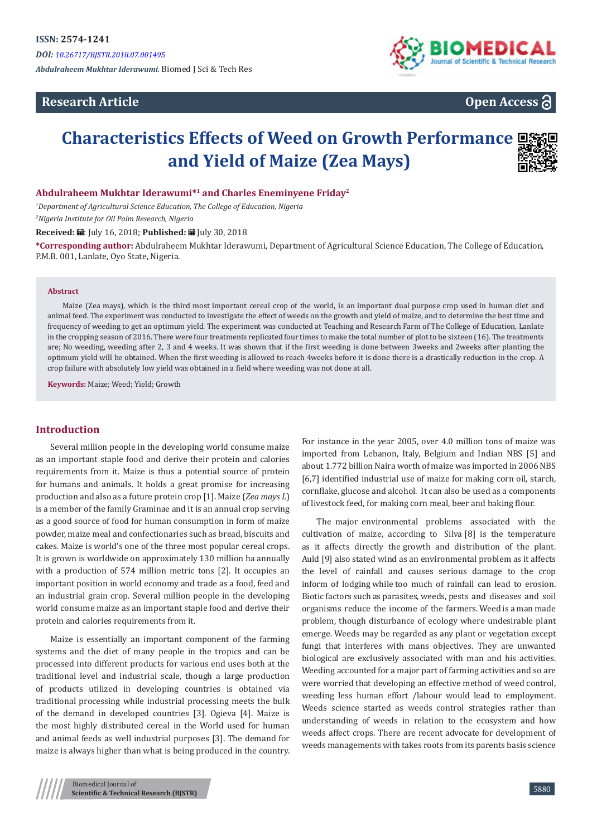# **Research Article**



**Open Access**

# **Characteristics Effects of Weed on Growth Performance and Yield of Maize (Zea Mays)**



#### **Abdulraheem Mukhtar Iderawumi\*1 and Charles Eneminyene Friday<sup>2</sup>**

*1 Department of Agricultural Science Education, The College of Education, Nigeria*

*2 Nigeria Institute for Oil Palm Research, Nigeria*

Received: *a*: July 16, 2018; Published: *a*: July 30, 2018

**\*Corresponding author:** Abdulraheem Mukhtar Iderawumi, Department of Agricultural Science Education, The College of Education, P.M.B. 001, Lanlate, Oyo State, Nigeria.

#### **Abstract**

Maize (Zea mays), which is the third most important cereal crop of the world, is an important dual purpose crop used in human diet and animal feed. The experiment was conducted to investigate the effect of weeds on the growth and yield of maize, and to determine the best time and frequency of weeding to get an optimum yield. The experiment was conducted at Teaching and Research Farm of The College of Education, Lanlate in the cropping season of 2016. There were four treatments replicated four times to make the total number of plot to be sixteen (16). The treatments are; No weeding, weeding after 2, 3 and 4 weeks. It was shown that if the first weeding is done between 3weeks and 2weeks after planting the optimum yield will be obtained. When the first weeding is allowed to reach 4weeks before it is done there is a drastically reduction in the crop. A crop failure with absolutely low yield was obtained in a field where weeding was not done at all.

**Keywords:** Maize; Weed; Yield; Growth

## **Introduction**

Several million people in the developing world consume maize as an important staple food and derive their protein and calories requirements from it. Maize is thus a potential source of protein for humans and animals. It holds a great promise for increasing production and also as a future protein crop [1]. Maize (*Zea mays L*) is a member of the family Graminae and it is an annual crop serving as a good source of food for human consumption in form of maize powder, maize meal and confectionaries such as bread, biscuits and cakes. Maize is world's one of the three most popular cereal crops. It is grown is worldwide on approximately 130 million ha annually with a production of 574 million metric tons [2]. It occupies an important position in world economy and trade as a food, feed and an industrial grain crop. Several million people in the developing world consume maize as an important staple food and derive their protein and calories requirements from it.

Maize is essentially an important component of the farming systems and the diet of many people in the tropics and can be processed into different products for various end uses both at the traditional level and industrial scale, though a large production of products utilized in developing countries is obtained via traditional processing while industrial processing meets the bulk of the demand in developed countries [3]. Ogieva [4]. Maize is the most highly distributed cereal in the World used for human and animal feeds as well industrial purposes [3]. The demand for maize is always higher than what is being produced in the country.

For instance in the year 2005, over 4.0 million tons of maize was imported from Lebanon, Italy, Belgium and Indian NBS [5] and about 1.772 billion Naira worth of maize was imported in 2006 NBS [6,7] identified industrial use of maize for making corn oil, starch, cornflake, glucose and alcohol. It can also be used as a components of livestock feed, for making corn meal, beer and baking flour.

The major environmental problems associated with the cultivation of maize, according to Silva [8] is the temperature as it affects directly the growth and distribution of the plant. Auld [9] also stated wind as an environmental problem as it affects the level of rainfall and causes serious damage to the crop inform of lodging while too much of rainfall can lead to erosion. Biotic factors such as parasites, weeds, pests and diseases and soil organisms reduce the income of the farmers. Weed is a man made problem, though disturbance of ecology where undesirable plant emerge. Weeds may be regarded as any plant or vegetation except fungi that interferes with mans objectives. They are unwanted biological are exclusively associated with man and his activities. Weeding accounted for a major part of farming activities and so are were worried that developing an effective method of weed control, weeding less human effort /labour would lead to employment. Weeds science started as weeds control strategies rather than understanding of weeds in relation to the ecosystem and how weeds affect crops. There are recent advocate for development of weeds managements with takes roots from its parents basis science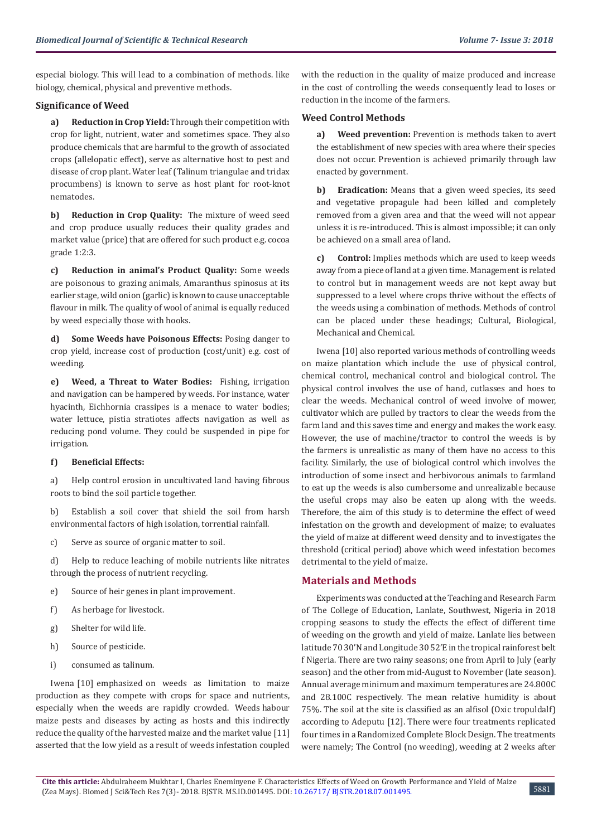especial biology. This will lead to a combination of methods. like biology, chemical, physical and preventive methods.

### **Significance of Weed**

**a) Reduction in Crop Yield:** Through their competition with crop for light, nutrient, water and sometimes space. They also produce chemicals that are harmful to the growth of associated crops (allelopatic effect), serve as alternative host to pest and disease of crop plant. Water leaf (Talinum triangulae and tridax procumbens) is known to serve as host plant for root-knot nematodes.

**b) Reduction in Crop Quality:** The mixture of weed seed and crop produce usually reduces their quality grades and market value (price) that are offered for such product e.g. cocoa grade 1:2:3.

**c) Reduction in animal's Product Quality:** Some weeds are poisonous to grazing animals, Amaranthus spinosus at its earlier stage, wild onion (garlic) is known to cause unacceptable flavour in milk. The quality of wool of animal is equally reduced by weed especially those with hooks.

**d) Some Weeds have Poisonous Effects:** Posing danger to crop yield, increase cost of production (cost/unit) e.g. cost of weeding.

**e) Weed, a Threat to Water Bodies:** Fishing, irrigation and navigation can be hampered by weeds. For instance, water hyacinth, Eichhornia crassipes is a menace to water bodies; water lettuce, pistia stratiotes affects navigation as well as reducing pond volume. They could be suspended in pipe for irrigation.

### **f) Beneficial Effects:**

a) Help control erosion in uncultivated land having fibrous roots to bind the soil particle together.

b) Establish a soil cover that shield the soil from harsh environmental factors of high isolation, torrential rainfall.

c) Serve as source of organic matter to soil.

d) Help to reduce leaching of mobile nutrients like nitrates through the process of nutrient recycling.

- e) Source of heir genes in plant improvement.
- f) As herbage for livestock.
- g) Shelter for wild life.
- h) Source of pesticide.
- i) consumed as talinum.

Iwena [10] emphasized on weeds as limitation to maize production as they compete with crops for space and nutrients, especially when the weeds are rapidly crowded. Weeds habour maize pests and diseases by acting as hosts and this indirectly reduce the quality of the harvested maize and the market value [11] asserted that the low yield as a result of weeds infestation coupled

with the reduction in the quality of maize produced and increase in the cost of controlling the weeds consequently lead to loses or reduction in the income of the farmers.

## **Weed Control Methods**

**a) Weed prevention:** Prevention is methods taken to avert the establishment of new species with area where their species does not occur. Prevention is achieved primarily through law enacted by government.

**b) Eradication:** Means that a given weed species, its seed and vegetative propagule had been killed and completely removed from a given area and that the weed will not appear unless it is re-introduced. This is almost impossible; it can only be achieved on a small area of land.

**c) Control:** Implies methods which are used to keep weeds away from a piece of land at a given time. Management is related to control but in management weeds are not kept away but suppressed to a level where crops thrive without the effects of the weeds using a combination of methods. Methods of control can be placed under these headings; Cultural, Biological, Mechanical and Chemical.

Iwena [10] also reported various methods of controlling weeds on maize plantation which include the use of physical control, chemical control, mechanical control and biological control. The physical control involves the use of hand, cutlasses and hoes to clear the weeds. Mechanical control of weed involve of mower, cultivator which are pulled by tractors to clear the weeds from the farm land and this saves time and energy and makes the work easy. However, the use of machine/tractor to control the weeds is by the farmers is unrealistic as many of them have no access to this facility. Similarly, the use of biological control which involves the introduction of some insect and herbivorous animals to farmland to eat up the weeds is also cumbersome and unrealizable because the useful crops may also be eaten up along with the weeds. Therefore, the aim of this study is to determine the effect of weed infestation on the growth and development of maize; to evaluates the yield of maize at different weed density and to investigates the threshold (critical period) above which weed infestation becomes detrimental to the yield of maize.

## **Materials and Methods**

Experiments was conducted at the Teaching and Research Farm of The College of Education, Lanlate, Southwest, Nigeria in 2018 cropping seasons to study the effects the effect of different time of weeding on the growth and yield of maize. Lanlate lies between latitude 70 30'N and Longitude 30 52'E in the tropical rainforest belt f Nigeria. There are two rainy seasons; one from April to July (early season) and the other from mid-August to November (late season). Annual average minimum and maximum temperatures are 24.800C and 28.100C respectively. The mean relative humidity is about 75%. The soil at the site is classified as an alfisol (Oxic tropuldalf) according to Adeputu [12]. There were four treatments replicated four times in a Randomized Complete Block Design. The treatments were namely; The Control (no weeding), weeding at 2 weeks after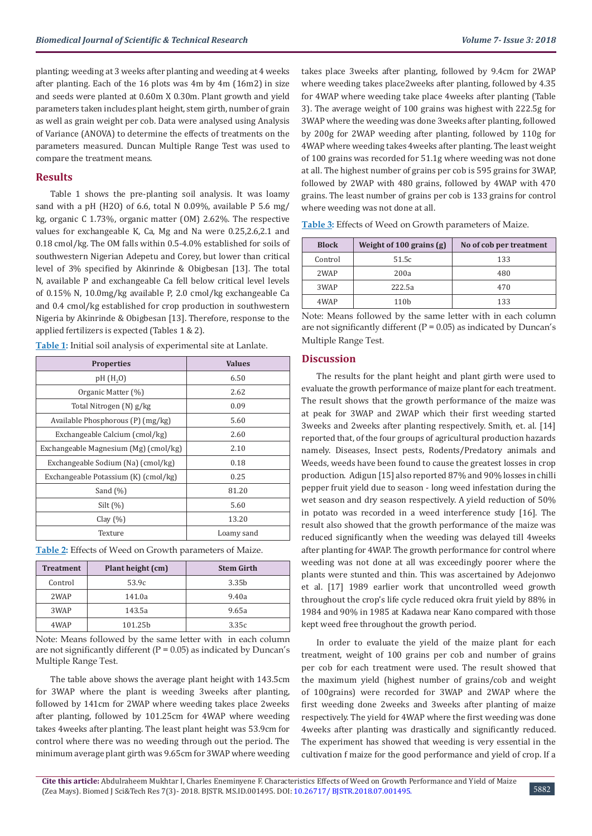planting; weeding at 3 weeks after planting and weeding at 4 weeks after planting. Each of the 16 plots was 4m by 4m (16m2) in size and seeds were planted at 0.60m X 0.30m. Plant growth and yield parameters taken includes plant height, stem girth, number of grain as well as grain weight per cob. Data were analysed using Analysis of Variance (ANOVA) to determine the effects of treatments on the parameters measured. Duncan Multiple Range Test was used to compare the treatment means.

## **Results**

Table 1 shows the pre-planting soil analysis. It was loamy sand with a pH (H2O) of 6.6, total N 0.09%, available P 5.6 mg/ kg, organic C 1.73%, organic matter (OM) 2.62%. The respective values for exchangeable K, Ca, Mg and Na were 0.25,2.6,2.1 and 0.18 cmol/kg. The OM falls within 0.5-4.0% established for soils of southwestern Nigerian Adepetu and Corey, but lower than critical level of 3% specified by Akinrinde & Obigbesan [13]. The total N, available P and exchangeable Ca fell below critical level levels of 0.15% N, 10.0mg/kg available P, 2.0 cmol/kg exchangeable Ca and 0.4 cmol/kg established for crop production in southwestern Nigeria by Akinrinde & Obigbesan [13]. Therefore, response to the applied fertilizers is expected (Tables 1 & 2).

| <b>Properties</b>                     | <b>Values</b> |
|---------------------------------------|---------------|
| pH (H <sub>2</sub> O)                 | 6.50          |
| Organic Matter (%)                    | 2.62          |
| Total Nitrogen (N) g/kg               | 0.09          |
| Available Phosphorous (P) (mg/kg)     | 5.60          |
| Exchangeable Calcium (cmol/kg)        | 2.60          |
| Exchangeable Magnesium (Mg) (cmol/kg) | 2.10          |
| Exchangeable Sodium (Na) (cmol/kg)    | 0.18          |
| Exchangeable Potassium (K) (cmol/kg)  | 0.25          |
| Sand $(\%)$                           | 81.20         |
| $Silt (\%)$                           | 5.60          |
| Clay $(\% )$                          | 13.20         |
| Texture                               | Loamy sand    |

**Table 1:** Initial soil analysis of experimental site at Lanlate.

**Table 2:** Effects of Weed on Growth parameters of Maize.

| <b>Treatment</b> | Plant height (cm) | <b>Stem Girth</b> |
|------------------|-------------------|-------------------|
| Control          | 53.9c             | 3.35 <sub>h</sub> |
| 2WAP             | 141.0a            | 9.40a             |
| 3WAP             | 143.5a            | 9.65a             |
| 4WAP             | 101.25b           | 3.35c             |

Note: Means followed by the same letter with in each column are not significantly different ( $P = 0.05$ ) as indicated by Duncan's Multiple Range Test.

The table above shows the average plant height with 143.5cm for 3WAP where the plant is weeding 3weeks after planting, followed by 141cm for 2WAP where weeding takes place 2weeks after planting, followed by 101.25cm for 4WAP where weeding takes 4weeks after planting. The least plant height was 53.9cm for control where there was no weeding through out the period. The minimum average plant girth was 9.65cm for 3WAP where weeding

takes place 3weeks after planting, followed by 9.4cm for 2WAP where weeding takes place2weeks after planting, followed by 4.35 for 4WAP where weeding take place 4weeks after planting (Table 3). The average weight of 100 grains was highest with 222.5g for 3WAP where the weeding was done 3weeks after planting, followed by 200g for 2WAP weeding after planting, followed by 110g for 4WAP where weeding takes 4weeks after planting. The least weight of 100 grains was recorded for 51.1g where weeding was not done at all. The highest number of grains per cob is 595 grains for 3WAP, followed by 2WAP with 480 grains, followed by 4WAP with 470 grains. The least number of grains per cob is 133 grains for control where weeding was not done at all.

**Table 3:** Effects of Weed on Growth parameters of Maize.

| <b>Block</b> | Weight of $100$ grains $(g)$ | No of cob per treatment |
|--------------|------------------------------|-------------------------|
| Control      | 51.5c                        | 133                     |
| 2WAP         | 200a                         | 480                     |
| 3WAP         | 222.5a                       | 470                     |
| 4WAP         | 110 <sub>b</sub>             | 133                     |

Note: Means followed by the same letter with in each column are not significantly different ( $P = 0.05$ ) as indicated by Duncan's Multiple Range Test.

### **Discussion**

The results for the plant height and plant girth were used to evaluate the growth performance of maize plant for each treatment. The result shows that the growth performance of the maize was at peak for 3WAP and 2WAP which their first weeding started 3weeks and 2weeks after planting respectively. Smith, et. al. [14] reported that, of the four groups of agricultural production hazards namely. Diseases, Insect pests, Rodents/Predatory animals and Weeds, weeds have been found to cause the greatest losses in crop production. Adigun [15] also reported 87% and 90% losses in chilli pepper fruit yield due to season - long weed infestation during the wet season and dry season respectively. A yield reduction of 50% in potato was recorded in a weed interference study [16]. The result also showed that the growth performance of the maize was reduced significantly when the weeding was delayed till 4weeks after planting for 4WAP. The growth performance for control where weeding was not done at all was exceedingly poorer where the plants were stunted and thin. This was ascertained by Adejonwo et al. [17] 1989 earlier work that uncontrolled weed growth throughout the crop's life cycle reduced okra fruit yield by 88% in 1984 and 90% in 1985 at Kadawa near Kano compared with those kept weed free throughout the growth period.

In order to evaluate the yield of the maize plant for each treatment, weight of 100 grains per cob and number of grains per cob for each treatment were used. The result showed that the maximum yield (highest number of grains/cob and weight of 100grains) were recorded for 3WAP and 2WAP where the first weeding done 2weeks and 3weeks after planting of maize respectively. The yield for 4WAP where the first weeding was done 4weeks after planting was drastically and significantly reduced. The experiment has showed that weeding is very essential in the cultivation f maize for the good performance and yield of crop. If a